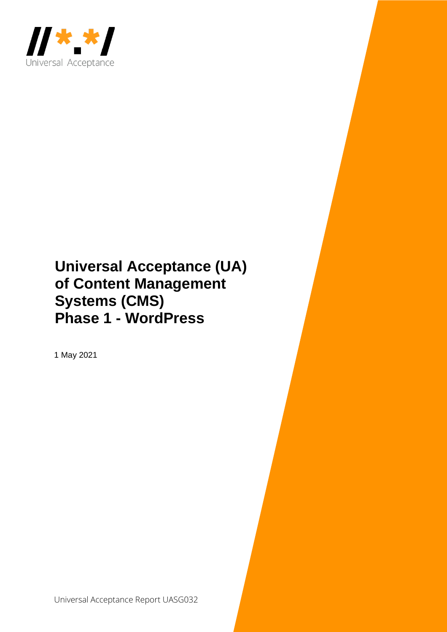

## **Universal Acceptance (UA) of Content Management Systems (CMS) Phase 1 - WordPress**

1 May 2021

Universal Acceptance Report UASG032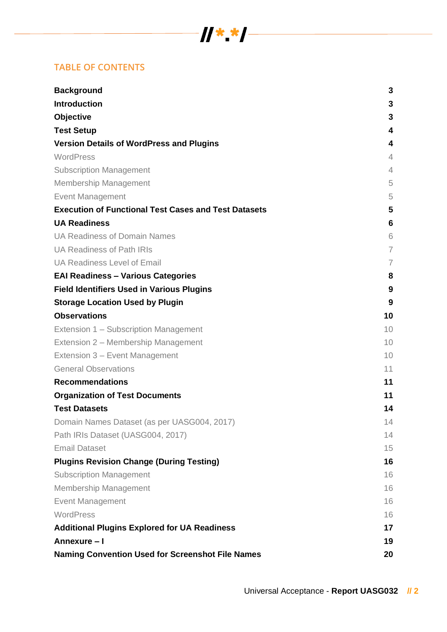# $\frac{1}{2}$   $\frac{1}{2}$   $\frac{1}{2}$   $\frac{1}{2}$   $\frac{1}{2}$   $\frac{1}{2}$   $\frac{1}{2}$   $\frac{1}{2}$   $\frac{1}{2}$   $\frac{1}{2}$   $\frac{1}{2}$   $\frac{1}{2}$   $\frac{1}{2}$   $\frac{1}{2}$   $\frac{1}{2}$   $\frac{1}{2}$   $\frac{1}{2}$   $\frac{1}{2}$   $\frac{1}{2}$   $\frac{1}{2}$   $\frac{1}{2}$   $\frac{1}{2}$

## **TABLE OF CONTENTS**

| <b>Background</b>                                           | 3              |
|-------------------------------------------------------------|----------------|
| <b>Introduction</b>                                         | 3              |
| <b>Objective</b>                                            | 3              |
| <b>Test Setup</b>                                           | 4              |
| <b>Version Details of WordPress and Plugins</b>             | 4              |
| WordPress                                                   | 4              |
| <b>Subscription Management</b>                              | $\overline{4}$ |
| <b>Membership Management</b>                                | 5              |
| <b>Event Management</b>                                     | 5              |
| <b>Execution of Functional Test Cases and Test Datasets</b> | 5              |
| <b>UA Readiness</b>                                         | 6              |
| <b>UA Readiness of Domain Names</b>                         | 6              |
| <b>UA Readiness of Path IRIs</b>                            | $\overline{7}$ |
| <b>UA Readiness Level of Email</b>                          | 7              |
| <b>EAI Readiness - Various Categories</b>                   | 8              |
| <b>Field Identifiers Used in Various Plugins</b>            | 9              |
| <b>Storage Location Used by Plugin</b>                      | 9              |
| <b>Observations</b>                                         | 10             |
| Extension 1 – Subscription Management                       | 10             |
| Extension 2 – Membership Management                         | 10             |
| Extension 3 - Event Management                              | 10             |
| <b>General Observations</b>                                 | 11             |
| <b>Recommendations</b>                                      | 11             |
| <b>Organization of Test Documents</b>                       | 11             |
| <b>Test Datasets</b>                                        | 14             |
| Domain Names Dataset (as per UASG004, 2017)                 | 14             |
| Path IRIs Dataset (UASG004, 2017)                           | 14             |
| <b>Email Dataset</b>                                        | 15             |
| <b>Plugins Revision Change (During Testing)</b>             | 16             |
| <b>Subscription Management</b>                              | 16             |
| <b>Membership Management</b>                                | 16             |
| <b>Event Management</b>                                     | 16             |
| WordPress                                                   | 16             |
| <b>Additional Plugins Explored for UA Readiness</b>         | 17             |
| Annexure - I                                                | 19             |
| <b>Naming Convention Used for Screenshot File Names</b>     | 20             |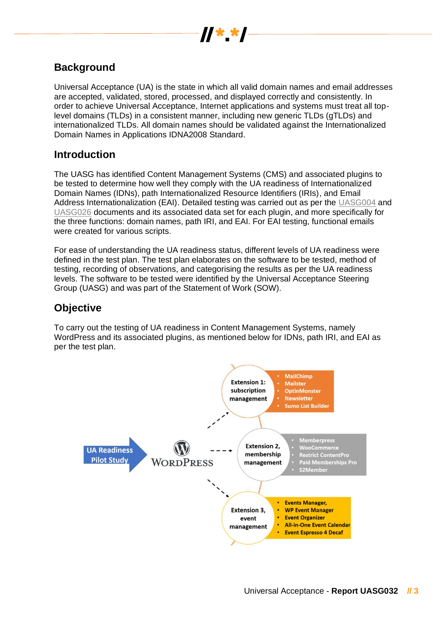

## **Background**

Universal Acceptance (UA) is the state in which all valid domain names and email addresses are accepted, validated, stored, processed, and displayed correctly and consistently. In order to achieve Universal Acceptance, Internet applications and systems must treat all toplevel domains (TLDs) in a consistent manner, including new generic TLDs (gTLDs) and internationalized TLDs. All domain names should be validated against the Internationalized Domain Names in Applications IDNA2008 Standard.

## **Introduction**

The UASG has identified Content Management Systems (CMS) and associated plugins to be tested to determine how well they comply with the UA readiness of Internationalized Domain Names (IDNs), path Internationalized Resource Identifiers (IRIs), and Email Address Internationalization (EAI). Detailed testing was carried out as per the [UASG004](https://uasg.tech/wp-content/uploads/documents/UASG004-en-digital.pdf) and [UASG026](https://uasg.tech/wp-content/uploads/documents/UASG026-en-digital.pdf) documents and its associated data set for each plugin, and more specifically for the three functions: domain names, path IRI, and EAI. For EAI testing, functional emails were created for various scripts.

For ease of understanding the UA readiness status, different levels of UA readiness were defined in the test plan. The test plan elaborates on the software to be tested, method of testing, recording of observations, and categorising the results as per the UA readiness levels. The software to be tested were identified by the Universal Acceptance Steering Group (UASG) and was part of the Statement of Work (SOW).

## **Objective**

To carry out the testing of UA readiness in Content Management Systems, namely WordPress and its associated plugins, as mentioned below for IDNs, path IRI, and EAI as per the test plan.

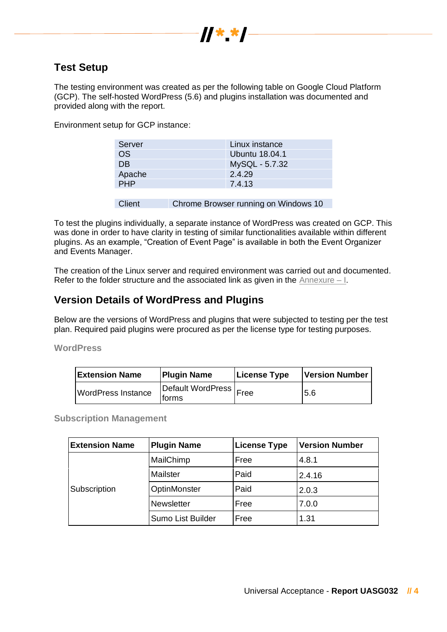

## **Test Setup**

The testing environment was created as per the following table on Google Cloud Platform (GCP). The self-hosted WordPress (5.6) and plugins installation was documented and provided along with the report.

Environment setup for GCP instance:

| Server     | Linux instance |
|------------|----------------|
| <b>OS</b>  | Ubuntu 18.04.1 |
| <b>DB</b>  | MySQL - 5.7.32 |
| Apache     | 2.4.29         |
| <b>PHP</b> | 7.4.13         |
|            |                |

Client Chrome Browser running on Windows 10

To test the plugins individually, a separate instance of WordPress was created on GCP. This was done in order to have clarity in testing of similar functionalities available within different plugins. As an example, "Creation of Event Page" is available in both the Event Organizer and Events Manager.

The creation of the Linux server and required environment was carried out and documented. Refer to the folder structure and the associated link as given in the Annexure  $-1$ .

## **Version Details of WordPress and Plugins**

Below are the versions of WordPress and plugins that were subjected to testing per the test plan. Required paid plugins were procured as per the license type for testing purposes.

**WordPress**

| <b>Extension Name</b>     | <b>License Type</b><br><b>Plugin Name</b> |  | <b>Version Number</b> |
|---------------------------|-------------------------------------------|--|-----------------------|
| <b>WordPress Instance</b> | Default WordPress   Free<br>lforms        |  | 5.6                   |

**Subscription Management**

| <b>Extension Name</b><br><b>Plugin Name</b> |                   | <b>License Type</b> | <b>Version Number</b> |  |
|---------------------------------------------|-------------------|---------------------|-----------------------|--|
|                                             | MailChimp         | Free                | 4.8.1                 |  |
| Subscription                                | Mailster          | Paid                | 2.4.16                |  |
|                                             | OptinMonster      | Paid                | 2.0.3                 |  |
|                                             | Newsletter        | Free                | 7.0.0                 |  |
|                                             | Sumo List Builder | Free                | 1.31                  |  |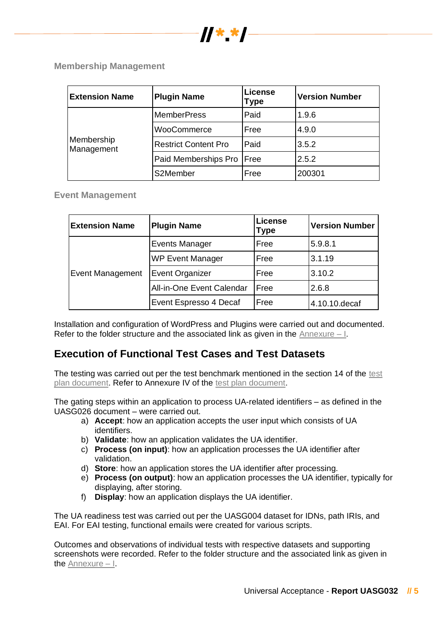

**Membership Management**

| <b>Plugin Name</b><br><b>Extension Name</b> |                             | License<br>Type | <b>Version Number</b> |
|---------------------------------------------|-----------------------------|-----------------|-----------------------|
| Membership<br>Management                    | <b>MemberPress</b>          | Paid            | 1.9.6                 |
|                                             | WooCommerce                 | Free            | 4.9.0                 |
|                                             | <b>Restrict Content Pro</b> | Paid            | 3.5.2                 |
|                                             | Paid Memberships Pro   Free |                 | 2.5.2                 |
|                                             | S2Member                    | Free            | 200301                |

**Event Management**

| <b>Extension Name</b> | <b>Plugin Name</b>               | <b>License</b><br>Type | <b>Version Number</b> |
|-----------------------|----------------------------------|------------------------|-----------------------|
|                       | <b>Events Manager</b>            | Free                   | 5.9.8.1               |
| Event Management      | <b>WP Event Manager</b>          | Free                   | 3.1.19                |
|                       | Event Organizer                  | Free                   | 3.10.2                |
|                       | <b>All-in-One Event Calendar</b> | Free                   | 2.6.8                 |
|                       | Event Espresso 4 Decaf           | Free                   | 4.10.10.decaf         |

Installation and configuration of WordPress and Plugins were carried out and documented. Refer to the folder structure and the associated link as given in the Annexure – I.

## **Execution of Functional Test Cases and Test Datasets**

The testing was carried out per the test benchmark mentioned in the section 14 of the [test](https://community.icann.org/download/attachments/115638939/UA-Readiness-Test-Plan_V2_17DEC2020.pdf?version=1&modificationDate=1611722004000&api=v2) [plan document.](https://community.icann.org/download/attachments/115638939/UA-Readiness-Test-Plan_V2_17DEC2020.pdf?version=1&modificationDate=1611722004000&api=v2) Refer to Annexure IV of the [test plan document.](https://community.icann.org/download/attachments/115638939/UA-Readiness-Test-Plan_V2_17DEC2020.pdf?version=1&modificationDate=1611722004000&api=v2)

The gating steps within an application to process UA-related identifiers – as defined in the UASG026 document – were carried out.

- a) **Accept**: how an application accepts the user input which consists of UA identifiers.
- b) **Validate**: how an application validates the UA identifier.
- c) **Process (on input)**: how an application processes the UA identifier after validation.
- d) **Store**: how an application stores the UA identifier after processing.
- e) **Process (on output)**: how an application processes the UA identifier, typically for displaying, after storing.
- f) **Display**: how an application displays the UA identifier.

The UA readiness test was carried out per the UASG004 dataset for IDNs, path IRIs, and EAI. For EAI testing, functional emails were created for various scripts.

Outcomes and observations of individual tests with respective datasets and supporting screenshots were recorded. Refer to the folder structure and the associated link as given in the Annexure – I.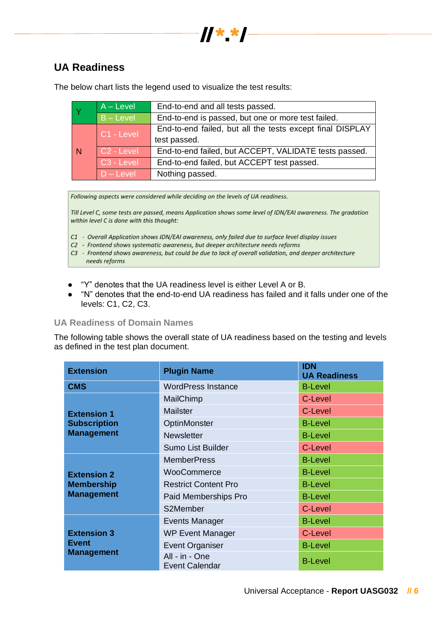

## **UA Readiness**

|             | $A - Level$            | End-to-end and all tests passed.                          |
|-------------|------------------------|-----------------------------------------------------------|
| $B - Level$ |                        | End-to-end is passed, but one or more test failed.        |
|             | C1 - Level             | End-to-end failed, but all the tests except final DISPLAY |
|             |                        | test passed.                                              |
| N           | C <sub>2</sub> - Level | End-to-end failed, but ACCEPT, VALIDATE tests passed.     |
|             | C <sub>3</sub> - Level | End-to-end failed, but ACCEPT test passed.                |
|             | $D - Level$            | Nothing passed.                                           |

The below chart lists the legend used to visualize the test results:

Following aspects were considered while deciding on the levels of UA readiness.

Till Level C, some tests are passed, means Application shows some level of IDN/EAI awareness. The gradation within level C is done with this thought:

- C1 Overall Application shows IDN/EAI awareness, only failed due to surface level display issues
- C2 Frontend shows systematic awareness, but deeper architecture needs reforms
- C3 Frontend shows awareness, but could be due to lack of overall validation, and deeper architecture needs reforms
- "Y" denotes that the UA readiness level is either Level A or B.
- "N" denotes that the end-to-end UA readiness has failed and it falls under one of the levels: C1, C2, C3.

#### **UA Readiness of Domain Names**

The following table shows the overall state of UA readiness based on the testing and levels as defined in the test plan document.

| <b>Extension</b>    | <b>Plugin Name</b>               | <b>IDN</b><br><b>UA Readiness</b> |
|---------------------|----------------------------------|-----------------------------------|
| <b>CMS</b>          | <b>WordPress Instance</b>        | <b>B-Level</b>                    |
|                     | MailChimp                        | C-Level                           |
| <b>Extension 1</b>  | Mailster                         | C-Level                           |
| <b>Subscription</b> | OptinMonster                     | <b>B-Level</b>                    |
| <b>Management</b>   | <b>Newsletter</b>                | <b>B-Level</b>                    |
|                     | Sumo List Builder                | C-Level                           |
|                     | <b>MemberPress</b>               | <b>B-Level</b>                    |
| <b>Extension 2</b>  | WooCommerce                      | <b>B-Level</b>                    |
| <b>Membership</b>   | <b>Restrict Content Pro</b>      | <b>B-Level</b>                    |
| <b>Management</b>   | Paid Memberships Pro             | <b>B-Level</b>                    |
|                     | S2Member                         | C-Level                           |
|                     | Events Manager                   | <b>B-Level</b>                    |
| <b>Extension 3</b>  | <b>WP Event Manager</b>          | C-Level                           |
| <b>Event</b>        | <b>Event Organiser</b>           | <b>B-Level</b>                    |
| <b>Management</b>   | All - in - One<br>Event Calendar | <b>B-Level</b>                    |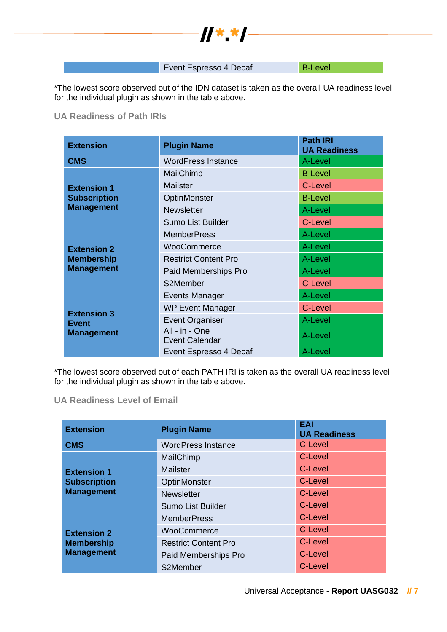

Event Espresso 4 Decaf B-Level

\*The lowest score observed out of the IDN dataset is taken as the overall UA readiness level for the individual plugin as shown in the table above.

#### **UA Readiness of Path IRIs**

| <b>Extension</b>    | <b>Plugin Name</b>                      | <b>Path IRI</b><br><b>UA Readiness</b> |
|---------------------|-----------------------------------------|----------------------------------------|
| <b>CMS</b>          | <b>WordPress Instance</b>               | A-Level                                |
|                     | MailChimp                               | <b>B-Level</b>                         |
| <b>Extension 1</b>  | Mailster                                | C-Level                                |
| <b>Subscription</b> | OptinMonster                            | <b>B-Level</b>                         |
| <b>Management</b>   | <b>Newsletter</b>                       | A-Level                                |
|                     | <b>Sumo List Builder</b>                | C-Level                                |
|                     | <b>MemberPress</b>                      | A-Level                                |
| <b>Extension 2</b>  | WooCommerce                             | A-Level                                |
| <b>Membership</b>   | <b>Restrict Content Pro</b>             | A-Level                                |
| <b>Management</b>   | Paid Memberships Pro                    | A-Level                                |
|                     | S2Member                                | C-Level                                |
|                     | <b>Events Manager</b>                   | A-Level                                |
| <b>Extension 3</b>  | <b>WP Event Manager</b>                 | C-Level                                |
| <b>Event</b>        | <b>Event Organiser</b>                  | A-Level                                |
| <b>Management</b>   | All - in - One<br><b>Event Calendar</b> | A-Level                                |
|                     | Event Espresso 4 Decaf                  | A-Level                                |

\*The lowest score observed out of each PATH IRI is taken as the overall UA readiness level for the individual plugin as shown in the table above.

#### **UA Readiness Level of Email**

| <b>Extension</b>    | <b>Plugin Name</b>          | <b>EAI</b><br><b>UA Readiness</b> |
|---------------------|-----------------------------|-----------------------------------|
| <b>CMS</b>          | <b>WordPress Instance</b>   | C-Level                           |
|                     | MailChimp                   | C-Level                           |
| <b>Extension 1</b>  | Mailster                    | C-Level                           |
| <b>Subscription</b> | OptinMonster                | C-Level                           |
| <b>Management</b>   | <b>Newsletter</b>           | C-Level                           |
|                     | Sumo List Builder           | C-Level                           |
|                     | <b>MemberPress</b>          | C-Level                           |
| <b>Extension 2</b>  | WooCommerce                 | C-Level                           |
| <b>Membership</b>   | <b>Restrict Content Pro</b> | C-Level                           |
| <b>Management</b>   | Paid Memberships Pro        | C-Level                           |
|                     | S2Member                    | C-Level                           |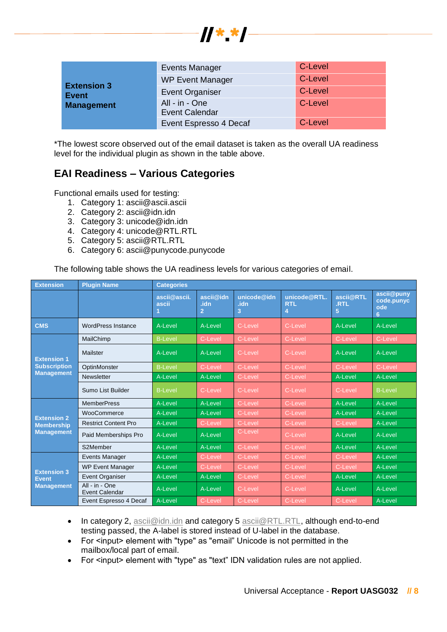

| <b>Extension 3</b><br><b>Event</b> | <b>Events Manager</b>                   | C-Level |
|------------------------------------|-----------------------------------------|---------|
|                                    | <b>WP Event Manager</b>                 | C-Level |
|                                    | <b>Event Organiser</b>                  | C-Level |
| <b>Management</b>                  | All - in - One<br><b>Event Calendar</b> | C-Level |
|                                    | Event Espresso 4 Decaf                  | C-Level |

\*The lowest score observed out of the email dataset is taken as the overall UA readiness level for the individual plugin as shown in the table above.

## **EAI Readiness – Various Categories**

Functional emails used for testing:

- 1. Category 1: ascii@ascii.ascii
- 2. Category 2: ascii@idn.idn
- 3. Category 3: unicode@idn.idn
- 4. Category 4: unicode@RTL.RTL
- 5. Category 5: ascii@RTL.RTL
- 6. Category 6: ascii@punycode.punycode

The following table shows the UA readiness levels for various categories of email.

| <b>Extension</b>                                        | <b>Plugin Name</b>                      | <b>Categories</b>     |                                     |                          |                                 |                        |                                      |
|---------------------------------------------------------|-----------------------------------------|-----------------------|-------------------------------------|--------------------------|---------------------------------|------------------------|--------------------------------------|
|                                                         |                                         | ascii@ascii.<br>ascii | ascii@idn<br>.idn<br>$\overline{2}$ | unicode@idn<br>.idn<br>3 | unicode@RTL.<br><b>RTL</b><br>4 | ascii@RTL<br>.RTL<br>5 | ascii@puny<br>code.punyc<br>ode<br>6 |
| <b>CMS</b>                                              | <b>WordPress Instance</b>               | A-Level               | A-Level                             | C-Level                  | C-Level                         | A-Level                | A-Level                              |
|                                                         | MailChimp                               | <b>B-Level</b>        | C-Level                             | C-Level                  | C-Level                         | C-Level                | C-Level                              |
| <b>Extension 1</b>                                      | Mailster                                | A-Level               | A-Level                             | C-Level                  | C-Level                         | A-Level                | A-Level                              |
| <b>Subscription</b>                                     | OptinMonster                            | <b>B-Level</b>        | C-Level                             | C-Level                  | C-Level                         | C-Level                | C-Level                              |
| <b>Management</b>                                       | Newsletter                              | A-Level               | A-Level                             | C-Level                  | C-Level                         | A-Level                | A-Level                              |
|                                                         | Sumo List Builder                       | <b>B-Level</b>        | C-Level                             | C-Level                  | C-Level                         | C-Level                | <b>B-Level</b>                       |
|                                                         | <b>MemberPress</b>                      | A-Level               | A-Level                             | C-Level                  | C-Level                         | A-Level                | A-Level                              |
| <b>Extension 2</b>                                      | WooCommerce                             | A-Level               | A-Level                             | C-Level                  | C-Level                         | A-Level                | A-Level                              |
| <b>Membership</b>                                       | <b>Restrict Content Pro</b>             | A-Level               | C-Level                             | C-Level                  | C-Level                         | C-Level                | A-Level                              |
| <b>Management</b>                                       | Paid Memberships Pro                    | A-Level               | A-Level                             | C-Level                  | C-Level                         | A-Level                | A-Level                              |
|                                                         | S2Member                                | A-Level               | A-Level                             | C-Level                  | C-Level                         | A-Level                | A-Level                              |
|                                                         | <b>Events Manager</b>                   | A-Level               | C-Level                             | C-Level                  | C-Level                         | C-Level                | A-Level                              |
|                                                         | <b>WP Event Manager</b>                 | A-Level               | C-Level                             | C-Level                  | C-Level                         | C-Level                | A-Level                              |
| <b>Extension 3</b><br><b>Event</b><br><b>Management</b> | <b>Event Organiser</b>                  | A-Level               | A-Level                             | C-Level                  | C-Level                         | A-Level                | A-Level                              |
|                                                         | All - in - One<br><b>Event Calendar</b> | A-Level               | A-Level                             | C-Level                  | C-Level                         | A-Level                | A-Level                              |
|                                                         | Event Espresso 4 Decaf                  | A-Level               | C-Level                             | C-Level                  | C-Level                         | C-Level                | A-Level                              |

- In category 2, [ascii@idn.idn](mailto:ascii@idn.idn) and category 5 [ascii@RTL.RTL,](mailto:ascii@RTL.RTL) although end-to-end testing passed, the A-label is stored instead of U-label in the database.
- For <input> element with "type" as "email" Unicode is not permitted in the mailbox/local part of email.
- For <input> element with "type" as "text" IDN validation rules are not applied.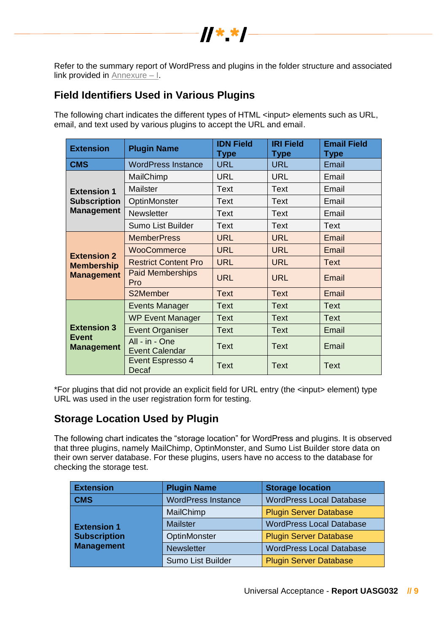

Refer to the summary report of WordPress and plugins in the folder structure and associated link provided in Annexure – I.

## **Field Identifiers Used in Various Plugins**

The following chart indicates the different types of HTML <input> elements such as URL, email, and text used by various plugins to accept the URL and email.

| <b>Extension</b>                  | <b>Plugin Name</b>                      | <b>IDN Field</b><br><b>Type</b> | <b>IRI Field</b><br><b>Type</b> | <b>Email Field</b><br><b>Type</b> |
|-----------------------------------|-----------------------------------------|---------------------------------|---------------------------------|-----------------------------------|
| <b>CMS</b>                        | <b>WordPress Instance</b>               | <b>URL</b>                      | <b>URL</b>                      | Email                             |
|                                   | MailChimp                               | <b>URL</b>                      | <b>URL</b>                      | Email                             |
| <b>Extension 1</b>                | Mailster                                | <b>Text</b>                     | <b>Text</b>                     | Email                             |
| <b>Subscription</b>               | OptinMonster                            | Text                            | <b>Text</b>                     | Email                             |
| <b>Management</b>                 | <b>Newsletter</b>                       | <b>Text</b>                     | <b>Text</b>                     | Email                             |
|                                   | Sumo List Builder                       | Text                            | <b>Text</b>                     | Text                              |
|                                   | <b>MemberPress</b>                      | <b>URL</b>                      | <b>URL</b>                      | Email                             |
| <b>Extension 2</b>                | <b>WooCommerce</b>                      | <b>URL</b>                      | <b>URL</b>                      | Email                             |
| <b>Membership</b>                 | <b>Restrict Content Pro</b>             | <b>URL</b>                      | <b>URL</b>                      | <b>Text</b>                       |
| <b>Management</b>                 | <b>Paid Memberships</b><br>Pro          | <b>URL</b>                      | <b>URL</b>                      | Email                             |
|                                   | S2Member                                | <b>Text</b>                     | <b>Text</b>                     | Email                             |
|                                   | <b>Events Manager</b>                   | <b>Text</b>                     | <b>Text</b>                     | <b>Text</b>                       |
|                                   | <b>WP Event Manager</b>                 | <b>Text</b>                     | <b>Text</b>                     | <b>Text</b>                       |
| <b>Extension 3</b>                | <b>Event Organiser</b>                  | <b>Text</b>                     | <b>Text</b>                     | Email                             |
| <b>Event</b><br><b>Management</b> | All - in - One<br><b>Event Calendar</b> | <b>Text</b>                     | <b>Text</b>                     | Email                             |
|                                   | Event Espresso 4<br>Decaf               | <b>Text</b>                     | <b>Text</b>                     | <b>Text</b>                       |

\*For plugins that did not provide an explicit field for URL entry (the <input> element) type URL was used in the user registration form for testing.

## **Storage Location Used by Plugin**

The following chart indicates the "storage location" for WordPress and plugins. It is observed that three plugins, namely MailChimp, OptinMonster, and Sumo List Builder store data on their own server database. For these plugins, users have no access to the database for checking the storage test.

| <b>Extension</b>    | <b>Plugin Name</b>        | <b>Storage location</b>         |  |
|---------------------|---------------------------|---------------------------------|--|
| <b>CMS</b>          | <b>WordPress Instance</b> | <b>WordPress Local Database</b> |  |
|                     | MailChimp                 | <b>Plugin Server Database</b>   |  |
| <b>Extension 1</b>  | <b>Mailster</b>           | <b>WordPress Local Database</b> |  |
| <b>Subscription</b> | OptinMonster              | <b>Plugin Server Database</b>   |  |
| <b>Management</b>   | <b>Newsletter</b>         | <b>WordPress Local Database</b> |  |
|                     | Sumo List Builder         | <b>Plugin Server Database</b>   |  |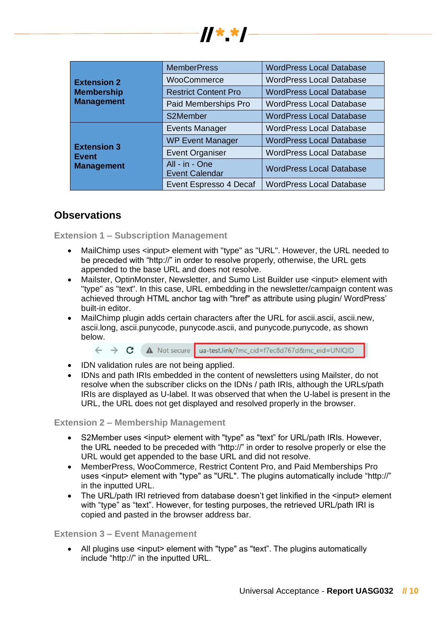|                    | <b>MemberPress</b>                      | <b>WordPress Local Database</b> |  |
|--------------------|-----------------------------------------|---------------------------------|--|
| <b>Extension 2</b> | WooCommerce                             | <b>WordPress Local Database</b> |  |
| <b>Membership</b>  | <b>Restrict Content Pro</b>             | <b>WordPress Local Database</b> |  |
| Management         | Paid Memberships Pro                    | <b>WordPress Local Database</b> |  |
|                    | S2Member                                | <b>WordPress Local Database</b> |  |
|                    | <b>Events Manager</b>                   | <b>WordPress Local Database</b> |  |
| <b>Extension 3</b> | <b>WP Event Manager</b>                 | <b>WordPress Local Database</b> |  |
| Event              | <b>Event Organiser</b>                  | <b>WordPress Local Database</b> |  |
| Management         | All - in - One<br><b>Event Calendar</b> | <b>WordPress Local Database</b> |  |
|                    | Event Espresso 4 Decaf                  | <b>WordPress Local Database</b> |  |

 $H^*$  \*  $\blacksquare$ 

## **Observations**

**Extension 1 – Subscription Management**

- MailChimp uses <input> element with "type" as "URL". However, the URL needed to be preceded with "http://" in order to resolve properly, otherwise, the URL gets appended to the base URL and does not resolve.
- Mailster, OptinMonster, Newsletter, and Sumo List Builder use <input> element with "type" as "text". In this case, URL embedding in the newsletter/campaign content was achieved through HTML anchor tag with "href" as attribute using plugin/ WordPress' built-in editor.
- MailChimp plugin adds certain characters after the URL for ascii.ascii, ascii.new, ascii.long, ascii.punycode, punycode.ascii, and punycode.punycode, as shown below.

← → C A Not secure ua-test.link/?mc\_cid=f7ec8d767d&mc\_eid=UNIQID

- IDN validation rules are not being applied.
- IDNs and path IRIs embedded in the content of newsletters using Mailster, do not resolve when the subscriber clicks on the IDNs / path IRIs, although the URLs/path IRIs are displayed as U-label. It was observed that when the U-label is present in the URL, the URL does not get displayed and resolved properly in the browser.

#### **Extension 2 – Membership Management**

- S2Member uses <input> element with "type" as "text" for URL/path IRIs. However, the URL needed to be preceded with "http://" in order to resolve properly or else the URL would get appended to the base URL and did not resolve.
- MemberPress, WooCommerce, Restrict Content Pro, and Paid Memberships Pro uses <input> element with "type" as "URL". The plugins automatically include "http://" in the inputted URL.
- The URL/path IRI retrieved from database doesn't get linkified in the <input> element with "type" as "text". However, for testing purposes, the retrieved URL/path IRI is copied and pasted in the browser address bar.

#### **Extension 3 – Event Management**

• All plugins use <input> element with "type" as "text". The plugins automatically include "http://" in the inputted URL.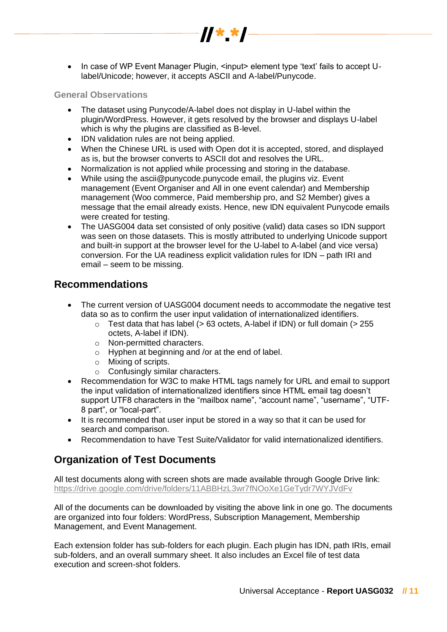• In case of WP Event Manager Plugin, <input> element type 'text' fails to accept Ulabel/Unicode; however, it accepts ASCII and A-label/Punycode.

 $\frac{1}{2}$   $\frac{1}{2}$   $\frac{1}{2}$   $\frac{1}{2}$   $\frac{1}{2}$   $\frac{1}{2}$ 

#### **General Observations**

- The dataset using Punycode/A-label does not display in U-label within the plugin/WordPress. However, it gets resolved by the browser and displays U-label which is why the plugins are classified as B-level.
- IDN validation rules are not being applied.
- When the Chinese URL is used with Open dot it is accepted, stored, and displayed as is, but the browser converts to ASCII dot and resolves the URL.
- Normalization is not applied while processing and storing in the database.
- While using the ascii@punycode.punycode email, the plugins viz. Event management (Event Organiser and All in one event calendar) and Membership management (Woo commerce, Paid membership pro, and S2 Member) gives a message that the email already exists. Hence, new IDN equivalent Punycode emails were created for testing.
- The UASG004 data set consisted of only positive (valid) data cases so IDN support was seen on those datasets. This is mostly attributed to underlying Unicode support and built-in support at the browser level for the U-label to A-label (and vice versa) conversion. For the UA readiness explicit validation rules for IDN – path IRI and email – seem to be missing.

### **Recommendations**

- The current version of UASG004 document needs to accommodate the negative test data so as to confirm the user input validation of internationalized identifiers.
	- $\circ$  Test data that has label (> 63 octets, A-label if IDN) or full domain (> 255 octets, A-label if IDN).
	- o Non-permitted characters.
	- o Hyphen at beginning and /or at the end of label.
	- o Mixing of scripts.
	- o Confusingly similar characters.
- Recommendation for W3C to make HTML tags namely for URL and email to support the input validation of internationalized identifiers since HTML email tag doesn't support UTF8 characters in the "mailbox name", "account name", "username", "UTF-8 part", or "local-part".
- It is recommended that user input be stored in a way so that it can be used for search and comparison.
- Recommendation to have Test Suite/Validator for valid internationalized identifiers.

## **Organization of Test Documents**

All test documents along with screen shots are made available through Google Drive link: <https://drive.google.com/drive/folders/11ABBHzL3wr7fNOoXe1GeTydr7WYJVdFv>

All of the documents can be downloaded by visiting the above link in one go. The documents are organized into four folders: WordPress, Subscription Management, Membership Management, and Event Management.

Each extension folder has sub-folders for each plugin. Each plugin has IDN, path IRIs, email sub-folders, and an overall summary sheet. It also includes an Excel file of test data execution and screen-shot folders.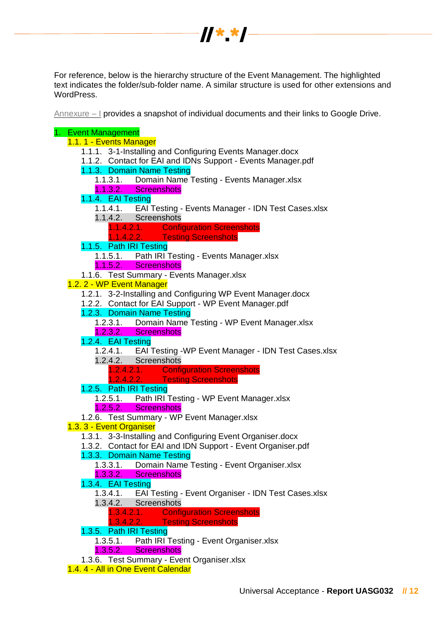

For reference, below is the hierarchy structure of the Event Management. The highlighted text indicates the folder/sub-folder name. A similar structure is used for other extensions and WordPress.

Annexure – I provides a snapshot of individual documents and their links to Google Drive.

## 1. Event Management

- 1.1. 1 Events Manager
	- 1.1.1. 3-1-Installing and Configuring Events Manager.docx
	- 1.1.2. Contact for EAI and IDNs Support Events Manager.pdf
	- 1.1.3. Domain Name Testing
		- 1.1.3.1. Domain Name Testing Events Manager.xlsx
		- 1.1.3.2. Screenshots
	- 1.1.4. EAI Testing
		- 1.1.4.1. EAI Testing Events Manager IDN Test Cases.xlsx
		- 1.1.4.2. Screenshots
			- 1.1.4.2.1. Configuration Screenshots<br>1.1.4.2.2. Testing Screenshots
				- **Testing Screenshots**
	- 1.1.5. Path IRI Testing
		- 1.1.5.1. Path IRI Testing Events Manager.xlsx
	- 1.1.5.2. Screenshots
	- 1.1.6. Test Summary Events Manager.xlsx
- 1.2. 2 WP Event Manager
	- 1.2.1. 3-2-Installing and Configuring WP Event Manager.docx
	- 1.2.2. Contact for EAI Support WP Event Manager.pdf
	- 1.2.3. Domain Name Testing
		- 1.2.3.1. Domain Name Testing WP Event Manager.xlsx
		- 1.2.3.2. Screenshots
	- 1.2.4. EAI Testing
		- 1.2.4.1. EAI Testing -WP Event Manager IDN Test Cases.xlsx
		- 1.2.4.2. Screenshots
			- 1.2.4.2.1. Configuration Screenshots<br>1.2.4.2.2. Testing Screenshots
				- **Testing Screenshots**
	- 1.2.5. Path IRI Testing
		- 1.2.5.1. Path IRI Testing WP Event Manager.xlsx
		- 1.2.5.2. Screenshots
	- 1.2.6. Test Summary WP Event Manager.xlsx
- 1.3. 3 Event Organiser
	- 1.3.1. 3-3-Installing and Configuring Event Organiser.docx
	- 1.3.2. Contact for EAI and IDN Support Event Organiser.pdf
	- 1.3.3. Domain Name Testing
		- 1.3.3.1. Domain Name Testing Event Organiser.xlsx
		- 1.3.3.2. Screenshots
	- 1.3.4. EAI Testing
		- 1.3.4.1. EAI Testing Event Organiser IDN Test Cases.xlsx
		- 1.3.4.2. Screenshots
			- 1.3.4.2.1. Configuration Screenshots
			- 1.3.4.2.2. Testing Screenshots
	- 1.3.5. Path IRI Testing
		- 1.3.5.1. Path IRI Testing Event Organiser.xlsx
		- 1.3.5.2. Screenshots
	- 1.3.6. Test Summary Event Organiser.xlsx
- 1.4. 4 All in One Event Calendar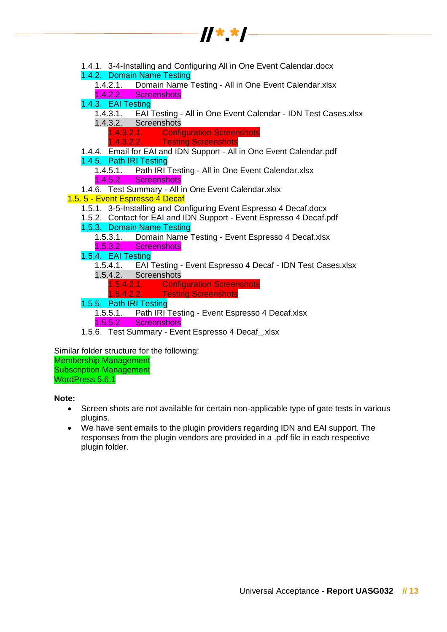

| 1.4.1. 3-4-Installing and Configuring All in One Event Calendar.docx<br>1.4.2. Domain Name Testing |
|----------------------------------------------------------------------------------------------------|
| 1.4.2.1. Domain Name Testing - All in One Event Calendar.xlsx                                      |
| 1.4.2.2. Screenshots                                                                               |
| 1.4.3. EAI Testing                                                                                 |
| 1.4.3.1. EAI Testing - All in One Event Calendar - IDN Test Cases.xlsx                             |
| 1.4.3.2. Screenshots                                                                               |
| 1.4.3.2.1. Configuration Screenshots                                                               |
| 1.4.3.2.2. Testing Screenshots                                                                     |
| 1.4.4. Email for EAI and IDN Support - All in One Event Calendar.pdf                               |
| 1.4.5. Path IRI Testing                                                                            |
| 1.4.5.1. Path IRI Testing - All in One Event Calendar.xlsx                                         |
| 1.4.5.2. Screenshots                                                                               |
| 1.4.6. Test Summary - All in One Event Calendar.xlsx                                               |
| 1.5. 5 - Event Espresso 4 Decaf                                                                    |
| 1.5.1. 3-5-Installing and Configuring Event Espresso 4 Decaf.docx                                  |
| 1.5.2. Contact for EAI and IDN Support - Event Espresso 4 Decaf.pdf                                |
| 1.5.3. Domain Name Testing                                                                         |
| 1.5.3.1. Domain Name Testing - Event Espresso 4 Decaf.xlsx<br>1.5.3.2. Screenshots                 |
| 1.5.4. EAI Testing                                                                                 |
| 1.5.4.1. EAI Testing - Event Espresso 4 Decaf - IDN Test Cases.xlsx                                |
| 1.5.4.2. Screenshots                                                                               |
| 1.5.4.2.1. Configuration Screenshots                                                               |
|                                                                                                    |
|                                                                                                    |
| 1.5.4.2.2. Testing Screenshots                                                                     |
| 1.5.5. Path IRI Testing                                                                            |
| 1.5.5.1. Path IRI Testing - Event Espresso 4 Decaf.xlsx<br>1.5.5.2. Screenshots                    |
| 1.5.6. Test Summary - Event Espresso 4 Decaf_xlsx                                                  |

Similar folder structure for the following: Membership Management Subscription Management WordPress 5.6.1

#### **Note:**

- Screen shots are not available for certain non-applicable type of gate tests in various plugins.
- We have sent emails to the plugin providers regarding IDN and EAI support. The responses from the plugin vendors are provided in a .pdf file in each respective plugin folder.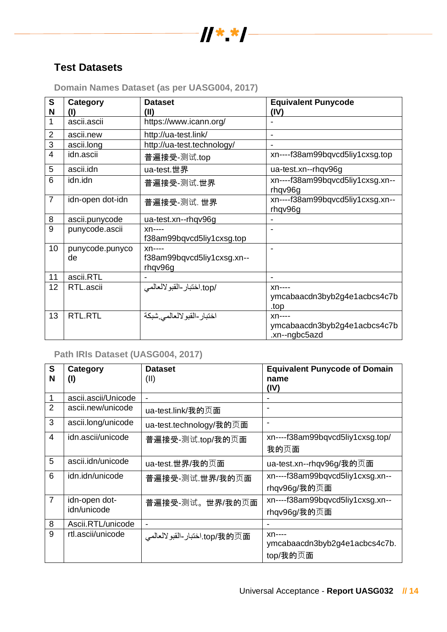

## **Test Datasets**

| $\mathbf S$<br>N | Category              | <b>Dataset</b><br>(II)                           | <b>Equivalent Punycode</b><br>(IV)                       |
|------------------|-----------------------|--------------------------------------------------|----------------------------------------------------------|
|                  | ascii.ascii           | https://www.icann.org/                           |                                                          |
| $\overline{2}$   | ascii.new             | http://ua-test.link/                             |                                                          |
| 3                | ascii.long            | http://ua-test.technology/                       |                                                          |
| $\overline{4}$   | idn.ascii             | 普遍接受-测试.top                                      | xn----f38am99bqvcd5liy1cxsg.top                          |
| 5                | ascii.idn             | ua-test.世界                                       | ua-test.xn--rhqv96g                                      |
| 6                | idn.idn               | 普遍接受-测试.世界                                       | xn----f38am99bqvcd5liy1cxsg.xn--<br>rhqv96g              |
| $\overline{7}$   | idn-open dot-idn      | 普遍接受-测试. 世界                                      | xn----f38am99bqvcd5liy1cxsg.xn--<br>rhqv96g              |
| 8                | ascii.punycode        | ua-test.xn--rhqv96g                              |                                                          |
| $\overline{9}$   | punycode.ascii        | $xn---$                                          |                                                          |
|                  |                       | f38am99bqvcd5liy1cxsg.top                        |                                                          |
| 10               | punycode.punyco<br>de | $xn---$<br>f38am99bqvcd5liy1cxsg.xn--<br>rhqv96g |                                                          |
| 11               | ascii.RTL             |                                                  |                                                          |
| 12               | RTL.ascii             | /top.اختبار-القبو لالعالمي                       | $xn---$<br>ymcabaacdn3byb2g4e1acbcs4c7b<br>.top          |
| 13               | RTL.RTL               | اختبار -القبو لالعالمي شبكة                      | $xn---$<br>ymcabaacdn3byb2g4e1acbcs4c7b<br>.xn--ngbc5azd |

**Domain Names Dataset (as per UASG004, 2017)**

## **Path IRIs Dataset (UASG004, 2017)**

| $\mathbf{s}$   | Category            | <b>Dataset</b>                | <b>Equivalent Punycode of Domain</b> |
|----------------|---------------------|-------------------------------|--------------------------------------|
| N              | $($ l               | (II)                          | name<br>(IV)                         |
|                | ascii.ascii/Unicode | $\blacksquare$                |                                      |
| $\overline{2}$ | ascii.new/unicode   | ua-test.link/我的页面             |                                      |
| 3              | ascii.long/unicode  | ua-test.technology/我的页面       | $\overline{\phantom{a}}$             |
| $\overline{4}$ | idn.ascii/unicode   | 普遍接受-测试.top/我的页面              | xn----f38am99bqvcd5liy1cxsg.top/     |
|                |                     |                               | 我的页面                                 |
| 5              | ascii.idn/unicode   | ua-test.世界/我的页面               | ua-test.xn--rhqv96g/我的页面             |
| 6              | idn.idn/unicode     | 普遍接受-测试 世界/我的页面               | xn----f38am99bqvcd5liy1cxsg.xn--     |
|                |                     |                               | rhqv96g/我的页面                         |
| $\overline{7}$ | idn-open dot-       | 普遍接受-测试。世界/我的页面               | xn----f38am99bqvcd5liy1cxsg.xn--     |
|                | idn/unicode         |                               | rhqv96g/我的页面                         |
| 8              | Ascii.RTL/unicode   | $\blacksquare$                |                                      |
| 9              | rtl.ascii/unicode   | top/我的页面.اختبار-القبولالعالمي | $xn---$                              |
|                |                     |                               | ymcabaacdn3byb2g4e1acbcs4c7b.        |
|                |                     |                               | top/我的页面                             |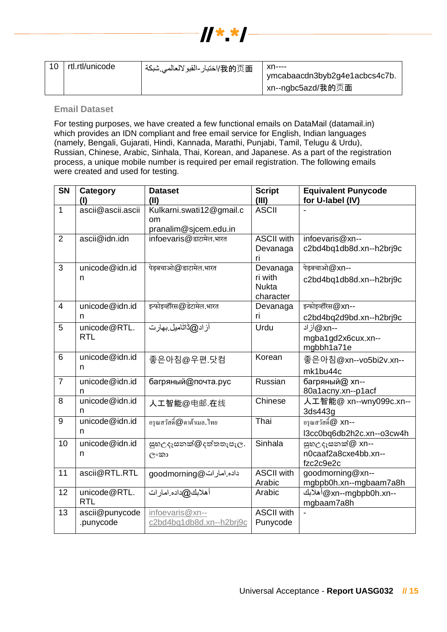

| 10 | rtl.rtl/unicode | /我的页面/اختبار-القبولالعالمي شبكة | xn----<br>ymcabaacdn3byb2g4e1acbcs4c7b.<br>xn--ngbc5azd/我的页面 |
|----|-----------------|---------------------------------|--------------------------------------------------------------|
|----|-----------------|---------------------------------|--------------------------------------------------------------|

#### **Email Dataset**

For testing purposes, we have created a few functional emails on DataMail (datamail.in) which provides an IDN compliant and free email service for English, Indian languages (namely, Bengali, Gujarati, Hindi, Kannada, Marathi, Punjabi, Tamil, Telugu & Urdu), Russian, Chinese, Arabic, Sinhala, Thai, Korean, and Japanese. As a part of the registration process, a unique mobile number is required per email registration. The following emails were created and used for testing.

| <b>SN</b>      | Category<br>(I)             | <b>Dataset</b><br>(II)                                  | <b>Script</b><br>(III)                           | <b>Equivalent Punycode</b><br>for U-label (IV)        |
|----------------|-----------------------------|---------------------------------------------------------|--------------------------------------------------|-------------------------------------------------------|
| $\mathbf{1}$   | ascii@ascii.ascii           | Kulkarni.swati12@gmail.c<br>om<br>pranalim@sjcem.edu.in | <b>ASCII</b>                                     |                                                       |
| $\overline{2}$ | ascii@idn.idn               | infoevaris@डाटामेल.भारत                                 | <b>ASCII with</b><br>Devanaga<br>ri              | infoevaris@xn--<br>c2bd4bq1db8d.xn--h2brj9c           |
| 3              | unicode@idn.id<br>n         | पेड़बचाओ@डाटामेल.भारत                                   | Devanaga<br>ri with<br><b>Nukta</b><br>character | पेड़बचाओ@xn--<br>c2bd4bq1db8d.xn--h2brj9c             |
| $\overline{4}$ | unicode@idn.id<br>n         | इन्फोइव्हॅरिस@डेटामेल.भारत                              | Devanaga<br>ri                                   | इन्फोइव्हॅरिस@xn--<br>c2bd4bq2d9bd.xn--h2brj9c        |
| 5              | unicode@RTL.<br><b>RTL</b>  | آز اد@ڈاٹامیل بھار ت                                    | Urdu                                             | --Q xn) آز اد<br>mgba1gd2x6cux.xn--<br>mgbbh1a71e     |
| 6              | unicode@idn.id<br>n         | 좋은아침@우편.닷컴                                              | Korean                                           | 좋은아침@xn--vo5bi2v.xn--<br>mk1bu44c                     |
| $\overline{7}$ | unicode@idn.id<br>n         | багряный@почта.рус                                      | Russian                                          | багряный@ xn--<br>80a1acny.xn--p1acf                  |
| 8              | unicode@idn.id<br>n         | 人工智能@电邮.在线                                              | Chinese                                          | 人工智能@ xn--wny099c.xn--<br>3ds443g                     |
| 9              | unicode@idn.id<br>n         | อรุณสวัสดิ์@ดาต้าเมล.ไทย                                | Thai                                             | อรุณสวัสดิ์@ xn--<br>l3cc0bq6db2h2c.xn--o3cw4h        |
| 10             | unicode@idn.id<br>n         | සුහඋදෑසනක්@දත්තතැපැල.<br>ി∘താ                           | Sinhala                                          | සුහඋදෑසනක්@ xn--<br>n0caaf2a8cxe4bb.xn--<br>fzc2c9e2c |
| 11             | ascii@RTL.RTL               | داده امارات@goodmorning                                 | <b>ASCII with</b><br>Arabic                      | goodmorning@xn--<br>mgbpb0h.xn--mgbaam7a8h            |
| 12             | unicode@RTL.<br>RTL         | أهلابك@داده امار ات                                     | Arabic                                           | --axn--mgbpb0h.xn أهلابك<br>mgbaam7a8h                |
| 13             | ascii@punycode<br>.punycode | infoevaris@xn--<br>c2bd4bq1db8d.xn--h2brj9c             | <b>ASCII</b> with<br>Punycode                    |                                                       |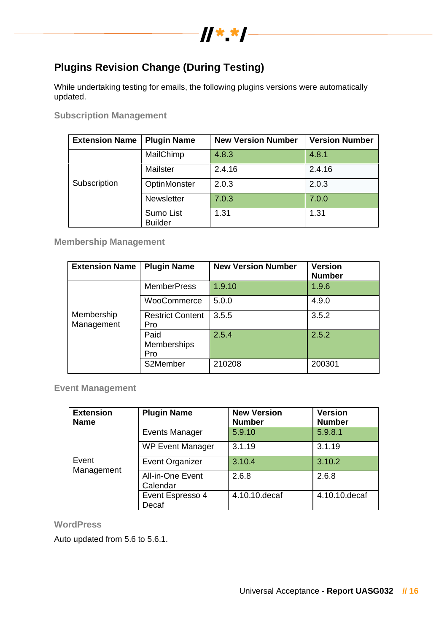

## **Plugins Revision Change (During Testing)**

While undertaking testing for emails, the following plugins versions were automatically updated.

**Subscription Management**

| <b>Extension Name</b> | <b>Plugin Name</b>          | <b>New Version Number</b> | <b>Version Number</b> |
|-----------------------|-----------------------------|---------------------------|-----------------------|
|                       | MailChimp                   | 4.8.3                     | 4.8.1                 |
|                       | Mailster                    | 2.4.16                    | 2.4.16                |
| Subscription          | OptinMonster                | 2.0.3                     | 2.0.3                 |
|                       | Newsletter                  | 7.0.3                     | 7.0.0                 |
|                       | Sumo List<br><b>Builder</b> | 1.31                      | 1.31                  |

**Membership Management**

| <b>Extension Name</b>    | <b>Plugin Name</b>                | <b>New Version Number</b> | <b>Version</b><br><b>Number</b> |
|--------------------------|-----------------------------------|---------------------------|---------------------------------|
|                          | <b>MemberPress</b>                | 1.9.10                    | 1.9.6                           |
|                          | WooCommerce                       | 5.0.0                     | 4.9.0                           |
| Membership<br>Management | <b>Restrict Content</b><br>Pro    | 3.5.5                     | 3.5.2                           |
|                          | Paid<br><b>Memberships</b><br>Pro | 2.5.4                     | 2.5.2                           |
|                          | S2Member                          | 210208                    | 200301                          |

**Event Management**

| <b>Extension</b><br><b>Name</b> | <b>Plugin Name</b>           | <b>New Version</b><br><b>Number</b> | <b>Version</b><br><b>Number</b> |  |
|---------------------------------|------------------------------|-------------------------------------|---------------------------------|--|
|                                 | <b>Events Manager</b>        | 5.9.10                              | 5.9.8.1                         |  |
|                                 | <b>WP Event Manager</b>      | 3.1.19                              | 3.1.19                          |  |
| Event<br>Management             | <b>Event Organizer</b>       | 3.10.4                              | 3.10.2                          |  |
|                                 | All-in-One Event<br>Calendar | 2.6.8                               | 2.6.8                           |  |
|                                 | Event Espresso 4<br>Decaf    | 4.10.10.decaf                       | 4.10.10.decaf                   |  |

**WordPress**

Auto updated from 5.6 to 5.6.1.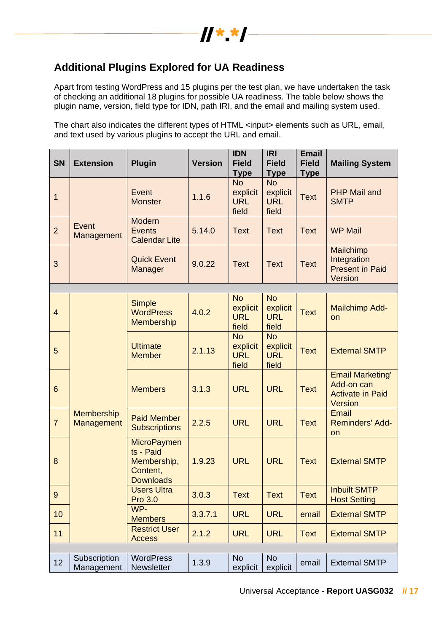

## **Additional Plugins Explored for UA Readiness**

Apart from testing WordPress and 15 plugins per the test plan, we have undertaken the task of checking an additional 18 plugins for possible UA readiness. The table below shows the plugin name, version, field type for IDN, path IRI, and the email and mailing system used.

The chart also indicates the different types of HTML <input> elements such as URL, email, and text used by various plugins to accept the URL and email.

| <b>SN</b>      | <b>Extension</b>                | <b>Plugin</b>                                                                  | <b>Version</b> | <b>IDN</b><br><b>Field</b><br><b>Type</b>    | <b>IRI</b><br><b>Field</b><br><b>Type</b>    | <b>Email</b><br><b>Field</b><br><b>Type</b> | <b>Mailing System</b>                                                              |
|----------------|---------------------------------|--------------------------------------------------------------------------------|----------------|----------------------------------------------|----------------------------------------------|---------------------------------------------|------------------------------------------------------------------------------------|
| $\mathbf 1$    |                                 | Event<br><b>Monster</b>                                                        | 1.1.6          | <b>No</b><br>explicit<br><b>URL</b><br>field | <b>No</b><br>explicit<br><b>URL</b><br>field | <b>Text</b>                                 | <b>PHP Mail and</b><br><b>SMTP</b>                                                 |
| $\overline{2}$ | Event<br>Management             | Modern<br><b>Events</b><br><b>Calendar Lite</b>                                | 5.14.0         | <b>Text</b>                                  | <b>Text</b>                                  | <b>Text</b>                                 | <b>WP Mail</b>                                                                     |
| 3              |                                 | <b>Quick Event</b><br>Manager                                                  | 9.0.22         | <b>Text</b>                                  | <b>Text</b>                                  | <b>Text</b>                                 | Mailchimp<br>Integration<br><b>Present in Paid</b><br>Version                      |
|                |                                 |                                                                                |                |                                              |                                              |                                             |                                                                                    |
| $\overline{4}$ |                                 | <b>Simple</b><br><b>WordPress</b><br><b>Membership</b>                         | 4.0.2          | <b>No</b><br>explicit<br><b>URL</b><br>field | <b>No</b><br>explicit<br><b>URL</b><br>field | <b>Text</b>                                 | <b>Mailchimp Add-</b><br>on                                                        |
| 5              |                                 | <b>Ultimate</b><br><b>Member</b>                                               | 2.1.13         | <b>No</b><br>explicit<br><b>URL</b><br>field | <b>No</b><br>explicit<br><b>URL</b><br>field | <b>Text</b>                                 | <b>External SMTP</b>                                                               |
| 6              |                                 | <b>Members</b>                                                                 | 3.1.3          | <b>URL</b>                                   | <b>URL</b>                                   | <b>Text</b>                                 | <b>Email Marketing'</b><br>Add-on can<br><b>Activate in Paid</b><br><b>Version</b> |
| $\overline{7}$ | <b>Membership</b><br>Management | <b>Paid Member</b><br><b>Subscriptions</b>                                     | 2.2.5          | <b>URL</b>                                   | <b>URL</b>                                   | <b>Text</b>                                 | Email<br><b>Reminders' Add-</b><br>on                                              |
| 8              |                                 | <b>MicroPaymen</b><br>ts - Paid<br>Membership,<br>Content,<br><b>Downloads</b> | 1.9.23         | <b>URL</b>                                   | <b>URL</b>                                   | <b>Text</b>                                 | <b>External SMTP</b>                                                               |
| 9              |                                 | <b>Users Ultra</b><br>Pro 3.0                                                  | 3.0.3          | <b>Text</b>                                  | <b>Text</b>                                  | <b>Text</b>                                 | <b>Inbuilt SMTP</b><br><b>Host Setting</b>                                         |
| 10             |                                 | WP-<br><b>Members</b>                                                          | 3.3.7.1        | <b>URL</b>                                   | <b>URL</b>                                   | email                                       | <b>External SMTP</b>                                                               |
| 11             |                                 | <b>Restrict User</b><br><b>Access</b>                                          | 2.1.2          | <b>URL</b>                                   | <b>URL</b>                                   | <b>Text</b>                                 | <b>External SMTP</b>                                                               |
|                |                                 |                                                                                |                |                                              |                                              |                                             |                                                                                    |
| 12             | Subscription<br>Management      | <b>WordPress</b><br>Newsletter                                                 | 1.3.9          | <b>No</b><br>explicit                        | <b>No</b><br>explicit                        | email                                       | <b>External SMTP</b>                                                               |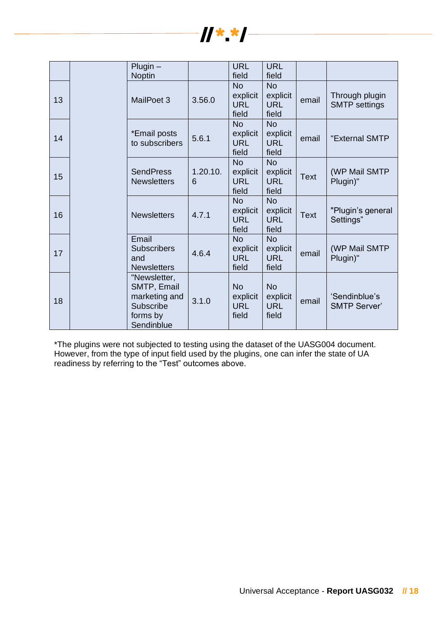

|    | $Plugin -$<br><b>Noptin</b>                                                         |               | <b>URL</b><br>field                          | <b>URL</b><br>field                          |             |                                        |
|----|-------------------------------------------------------------------------------------|---------------|----------------------------------------------|----------------------------------------------|-------------|----------------------------------------|
| 13 | MailPoet 3                                                                          | 3.56.0        | <b>No</b><br>explicit<br><b>URL</b><br>field | <b>No</b><br>explicit<br><b>URL</b><br>field | email       | Through plugin<br><b>SMTP</b> settings |
| 14 | *Email posts<br>to subscribers                                                      | 5.6.1         | <b>No</b><br>explicit<br><b>URL</b><br>field | <b>No</b><br>explicit<br><b>URL</b><br>field | email       | "External SMTP                         |
| 15 | <b>SendPress</b><br><b>Newsletters</b>                                              | 1.20.10.<br>6 | <b>No</b><br>explicit<br><b>URL</b><br>field | <b>No</b><br>explicit<br><b>URL</b><br>field | <b>Text</b> | (WP Mail SMTP<br>Plugin)"              |
| 16 | <b>Newsletters</b>                                                                  | 4.7.1         | <b>No</b><br>explicit<br><b>URL</b><br>field | <b>No</b><br>explicit<br><b>URL</b><br>field | <b>Text</b> | "Plugin's general<br>Settings"         |
| 17 | Email<br><b>Subscribers</b><br>and<br><b>Newsletters</b>                            | 4.6.4         | <b>No</b><br>explicit<br><b>URL</b><br>field | <b>No</b><br>explicit<br><b>URL</b><br>field | email       | (WP Mail SMTP<br>Plugin)"              |
| 18 | "Newsletter,<br>SMTP, Email<br>marketing and<br>Subscribe<br>forms by<br>Sendinblue | 3.1.0         | <b>No</b><br>explicit<br><b>URL</b><br>field | <b>No</b><br>explicit<br><b>URL</b><br>field | email       | 'Sendinblue's<br><b>SMTP Server'</b>   |

\*The plugins were not subjected to testing using the dataset of the UASG004 document. However, from the type of input field used by the plugins, one can infer the state of UA readiness by referring to the "Test" outcomes above.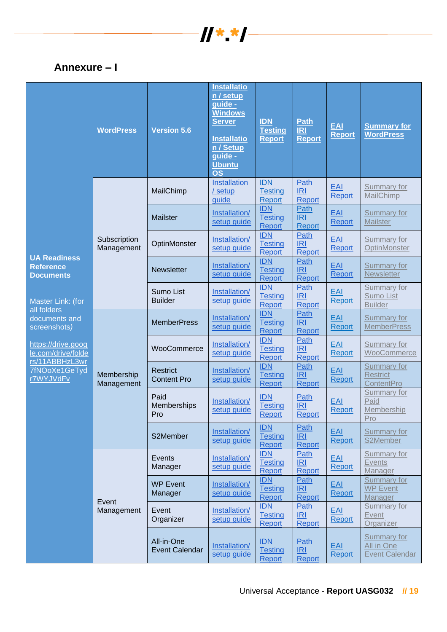

## **Annexure – I**

|                                                             | <b>WordPress</b>           | <b>Version 5.6</b>                    | <b>Installatio</b><br>n / setup<br>guide -<br><b>Windows</b><br><b>Server</b><br><b>Installatio</b><br>n / Setup<br>guide -<br><b>Ubuntu</b><br><b>OS</b> | <b>IDN</b><br><b>Testing</b><br><b>Report</b> | <b>Path</b><br><b>IRI</b><br><b>Report</b> | <b>EAI</b><br><b>Report</b> | <b>Summary for</b><br><b>WordPress</b>                    |
|-------------------------------------------------------------|----------------------------|---------------------------------------|-----------------------------------------------------------------------------------------------------------------------------------------------------------|-----------------------------------------------|--------------------------------------------|-----------------------------|-----------------------------------------------------------|
|                                                             | Subscription<br>Management | MailChimp                             | Installation<br>/ setup<br>guide                                                                                                                          | <b>IDN</b><br><b>Testing</b><br>Report        | Path<br><b>IRI</b><br>Report               | EAI<br>Report               | <b>Summary for</b><br>MailChimp                           |
|                                                             |                            | Mailster                              | Installation/<br>setup quide                                                                                                                              | <b>IDN</b><br><b>Testing</b><br><b>Report</b> | Path<br><b>IRI</b><br>Report               | EAI<br>Report               | Summary for<br><b>Mailster</b>                            |
|                                                             |                            | OptinMonster                          | Installation/<br>setup quide                                                                                                                              | <b>IDN</b><br><b>Testing</b><br>Report        | Path<br><b>IRI</b><br>Report               | EAI<br>Report               | <b>Summary for</b><br>OptinMonster                        |
| <b>UA Readiness</b><br><b>Reference</b><br><b>Documents</b> |                            | <b>Newsletter</b>                     | Installation/<br>setup quide                                                                                                                              | <b>IDN</b><br><b>Testing</b><br>Report        | Path<br><b>IRI</b><br>Report               | EAI<br>Report               | <b>Summary for</b><br><b>Newsletter</b>                   |
| Master Link: (for<br>all folders                            |                            | Sumo List<br><b>Builder</b>           | Installation/<br>setup guide                                                                                                                              | <b>IDN</b><br>Testing<br>Report               | Path<br><b>IRI</b><br><b>Report</b>        | EAI<br>Report               | <b>Summary for</b><br><b>Sumo List</b><br><b>Builder</b>  |
| documents and<br>screenshots)                               | Membership<br>Management   | <b>MemberPress</b>                    | Installation/<br>setup quide                                                                                                                              | <b>IDN</b><br><b>Testing</b><br>Report        | Path<br>IRI<br><b>Report</b>               | EAI<br>Report               | <b>Summary for</b><br><b>MemberPress</b>                  |
| https://drive.goog<br>le.com/drive/folde<br>rs/11ABBHzL3wr  |                            | WooCommerce                           | Installation/<br>setup guide                                                                                                                              | <b>IDN</b><br><b>Testing</b><br>Report        | Path<br><b>IRI</b><br>Report               | EAI<br>Report               | <b>Summary for</b><br>WooCommerce                         |
| 7fNOoXe1GeTyd<br>r7WYJVdFv                                  |                            | <b>Restrict</b><br><b>Content Pro</b> | Installation/<br>setup quide                                                                                                                              | <b>IDN</b><br><b>Testing</b><br><b>Report</b> | Path<br><b>IRI</b><br><b>Report</b>        | EAI<br>Report               | <b>Summary for</b><br><b>Restrict</b><br>ContentPro       |
|                                                             |                            | Paid<br>Memberships<br>Pro            | Installation/<br>setup quide                                                                                                                              | <b>IDN</b><br><b>Testing</b><br>Report        | Path<br><b>IRI</b><br>Report               | EAI<br>Report               | <b>Summary for</b><br>Paid<br>Membership<br>Pro           |
|                                                             |                            | S2Member                              | Installation/<br>setup quide                                                                                                                              | <b>IDN</b><br><b>Testing</b><br>Report        | Path<br>IRI<br>Report                      | <b>EAI</b><br>Report        | <b>Summary for</b><br>S2Member                            |
|                                                             | Event<br>Management        | Events<br>Manager                     | Installation/<br>setup quide                                                                                                                              | <b>IDN</b><br><b>Testing</b><br>Report        | <b>Path</b><br>IRI<br>Report               | EAL<br>Report               | Summary for<br><b>Events</b><br>Manager                   |
|                                                             |                            | <b>WP Event</b><br>Manager            | Installation/<br>setup quide                                                                                                                              | <b>IDN</b><br><b>Testing</b><br>Report        | Path<br>IRI<br>Report                      | <b>EAI</b><br><b>Report</b> | <b>Summary for</b><br><b>WP Event</b><br>Manager          |
|                                                             |                            | Event<br>Organizer                    | Installation/<br>setup guide                                                                                                                              | <b>IDN</b><br><b>Testing</b><br>Report        | Path<br>IRI<br><b>Report</b>               | EAL<br>Report               | Summary for<br><b>Event</b><br>Organizer                  |
|                                                             |                            | All-in-One<br><b>Event Calendar</b>   | Installation/<br>setup quide                                                                                                                              | <b>IDN</b><br><b>Testing</b><br>Report        | Path<br>IRI<br>Report                      | EAI<br>Report               | <b>Summary for</b><br>All in One<br><b>Event Calendar</b> |